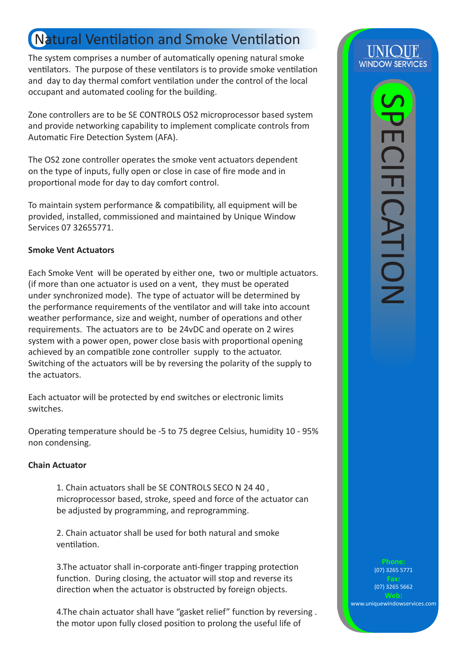# Natural Ventilation and Smoke Ventilation

The system comprises a number of automatically opening natural smoke ventilators. The purpose of these ventilators is to provide smoke ventilation and day to day thermal comfort ventilation under the control of the local occupant and automated cooling for the building.

Zone controllers are to be SE CONTROLS OS2 microprocessor based system and provide networking capability to implement complicate controls from Automatic Fire Detection System (AFA).

The OS2 zone controller operates the smoke vent actuators dependent on the type of inputs, fully open or close in case of fire mode and in proportional mode for day to day comfort control.

To maintain system performance & compatibility, all equipment will be provided, installed, commissioned and maintained by Unique Window Services 07 32655771.

## **Smoke Vent Actuators**

Each Smoke Vent will be operated by either one, two or multiple actuators. (if more than one actuator is used on a vent, they must be operated under synchronized mode). The type of actuator will be determined by the performance requirements of the ventilator and will take into account weather performance, size and weight, number of operations and other requirements. The actuators are to be 24vDC and operate on 2 wires system with a power open, power close basis with proportional opening achieved by an compatible zone controller supply to the actuator. Switching of the actuators will be by reversing the polarity of the supply to the actuators.

Each actuator will be protected by end switches or electronic limits switches.

Operating temperature should be -5 to 75 degree Celsius, humidity 10 - 95% non condensing.

## **Chain Actuator**

1. Chain actuators shall be SE CONTROLS SECO N 24 40 , microprocessor based, stroke, speed and force of the actuator can be adjusted by programming, and reprogramming.

2. Chain actuator shall be used for both natural and smoke ventilation.

3.The actuator shall in-corporate anti-finger trapping protection function. During closing, the actuator will stop and reverse its direction when the actuator is obstructed by foreign objects.

4.The chain actuator shall have "gasket relief" function by reversing . the motor upon fully closed position to prolong the useful life of

(07) 3265 5771

(07) 3265 5662

www.uniquewindowservices.com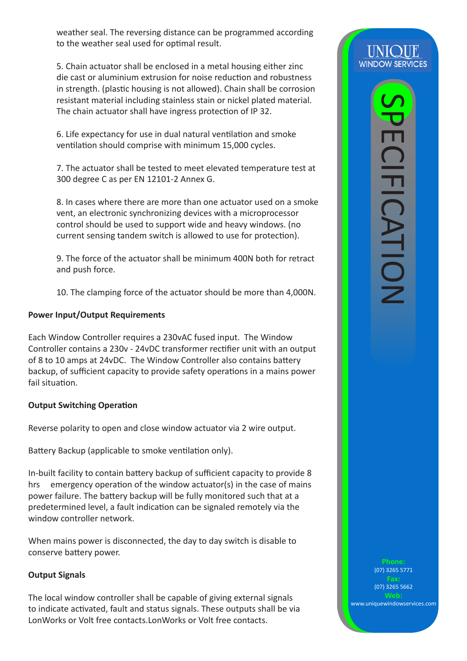weather seal. The reversing distance can be programmed according to the weather seal used for optimal result.

5. Chain actuator shall be enclosed in a metal housing either zinc die cast or aluminium extrusion for noise reduction and robustness in strength. (plastic housing is not allowed). Chain shall be corrosion resistant material including stainless stain or nickel plated material. The chain actuator shall have ingress protection of IP 32.

6. Life expectancy for use in dual natural ventilation and smoke ventilation should comprise with minimum 15,000 cycles.

7. The actuator shall be tested to meet elevated temperature test at 300 degree C as per EN 12101-2 Annex G.

8. In cases where there are more than one actuator used on a smoke vent, an electronic synchronizing devices with a microprocessor control should be used to support wide and heavy windows. (no current sensing tandem switch is allowed to use for protection).

9. The force of the actuator shall be minimum 400N both for retract and push force.

10. The clamping force of the actuator should be more than 4,000N.

# **Power Input/Output Requirements**

Each Window Controller requires a 230vAC fused input. The Window Controller contains a 230v - 24vDC transformer rectifier unit with an output of 8 to 10 amps at 24vDC. The Window Controller also contains battery backup, of sufficient capacity to provide safety operations in a mains power fail situation.

# **Output Switching Operation**

Reverse polarity to open and close window actuator via 2 wire output.

Battery Backup (applicable to smoke ventilation only).

In-built facility to contain battery backup of sufficient capacity to provide 8 hrs emergency operation of the window actuator(s) in the case of mains power failure. The battery backup will be fully monitored such that at a predetermined level, a fault indication can be signaled remotely via the window controller network.

When mains power is disconnected, the day to day switch is disable to conserve battery power.

# **Output Signals**

The local window controller shall be capable of giving external signals to indicate activated, fault and status signals. These outputs shall be via LonWorks or Volt free contacts.LonWorks or Volt free contacts.

(07) 3265 5771

(07) 3265 5662